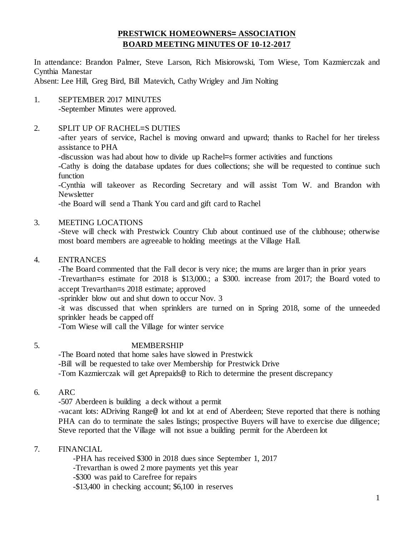# **PRESTWICK HOMEOWNERS= ASSOCIATION BOARD MEETING MINUTES OF 10-12-2017**

In attendance: Brandon Palmer, Steve Larson, Rich Misiorowski, Tom Wiese, Tom Kazmierczak and Cynthia Manestar

Absent: Lee Hill, Greg Bird, Bill Matevich, Cathy Wrigley and Jim Nolting

1. SEPTEMBER 2017 MINUTES -September Minutes were approved.

## 2. SPLIT UP OF RACHEL=S DUTIES

-after years of service, Rachel is moving onward and upward; thanks to Rachel for her tireless assistance to PHA

-discussion was had about how to divide up Rachel=s former activities and functions

-Cathy is doing the database updates for dues collections; she will be requested to continue such function

-Cynthia will takeover as Recording Secretary and will assist Tom W. and Brandon with Newsletter

-the Board will send a Thank You card and gift card to Rachel

## 3. MEETING LOCATIONS

-Steve will check with Prestwick Country Club about continued use of the clubhouse; otherwise most board members are agreeable to holding meetings at the Village Hall.

#### 4. ENTRANCES

-The Board commented that the Fall decor is very nice; the mums are larger than in prior years -Trevarthan=s estimate for 2018 is \$13,000.; a \$300. increase from 2017; the Board voted to accept Trevarthan=s 2018 estimate; approved

-sprinkler blow out and shut down to occur Nov. 3

-it was discussed that when sprinklers are turned on in Spring 2018, some of the unneeded sprinkler heads be capped off

-Tom Wiese will call the Village for winter service

## 5. MEMBERSHIP

-The Board noted that home sales have slowed in Prestwick -Bill will be requested to take over Membership for Prestwick Drive -Tom Kazmierczak will get Aprepaids@ to Rich to determine the present discrepancy

6. ARC

-507 Aberdeen is building a deck without a permit

-vacant lots: ADriving Range@ lot and lot at end of Aberdeen; Steve reported that there is nothing PHA can do to terminate the sales listings; prospective Buyers will have to exercise due diligence; Steve reported that the Village will not issue a building permit for the Aberdeen lot

## 7. FINANCIAL

-PHA has received \$300 in 2018 dues since September 1, 2017

-Trevarthan is owed 2 more payments yet this year

-\$300 was paid to Carefree for repairs

-\$13,400 in checking account; \$6,100 in reserves